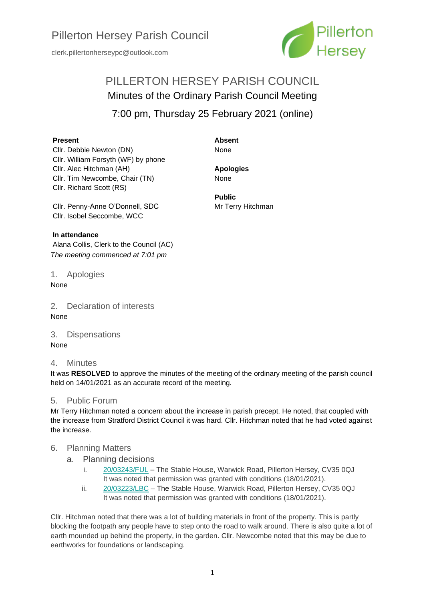clerk.pillertonherseypc@outlook.com



# PILLERTON HERSEY PARISH COUNCIL Minutes of the Ordinary Parish Council Meeting

7:00 pm, Thursday 25 February 2021 (online)

#### **Present**

Cllr. Debbie Newton (DN) Cllr. William Forsyth (WF) by phone Cllr. Alec Hitchman (AH) Cllr. Tim Newcombe, Chair (TN) Cllr. Richard Scott (RS)

**Absent** None

**Apologies**

None

**Public**

Mr Terry Hitchman

Cllr. Penny-Anne O'Donnell, SDC Cllr. Isobel Seccombe, WCC

## **In attendance**

Alana Collis, Clerk to the Council (AC) *The meeting commenced at 7:01 pm*

1. Apologies None

2. Declaration of interests None

3. Dispensations None

4. Minutes

It was **RESOLVED** to approve the minutes of the meeting of the ordinary meeting of the parish council held on 14/01/2021 as an accurate record of the meeting.

## 5. Public Forum

Mr Terry Hitchman noted a concern about the increase in parish precept. He noted, that coupled with the increase from Stratford District Council it was hard. Cllr. Hitchman noted that he had voted against the increase.

# 6. Planning Matters

- a. Planning decisions
	- i. [20/03243/FUL](https://apps.stratford.gov.uk/eplanning/AppDetail.aspx?appkey=QJW1FCPMJ3V00) The Stable House, Warwick Road, Pillerton Hersey, CV35 0QJ It was noted that permission was granted with conditions (18/01/2021).
	- ii. [20/03223/LBC](https://apps.stratford.gov.uk/eplanning/AppDetail.aspx?appkey=QJQ6D1PMICR00) The Stable House, Warwick Road, Pillerton Hersey, CV35 0QJ It was noted that permission was granted with conditions (18/01/2021).

Cllr. Hitchman noted that there was a lot of building materials in front of the property. This is partly blocking the footpath any people have to step onto the road to walk around. There is also quite a lot of earth mounded up behind the property, in the garden. Cllr. Newcombe noted that this may be due to earthworks for foundations or landscaping.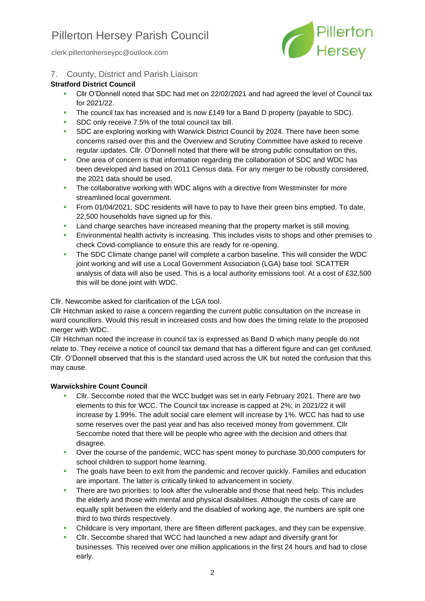clerk.pillertonherseypc@outlook.com



7. County, District and Parish Liaison

## **Stratford District Council**

- Cllr O'Donnell noted that SDC had met on 22/02/2021 and had agreed the level of Council tax for 2021/22.
- **•** The council tax has increased and is now £149 for a Band D property (payable to SDC).
- **SDC only receive 7.5% of the total council tax bill.**
- **SDC are exploring working with Warwick District Council by 2024. There have been some** concerns raised over this and the Overview and Scrutiny Committee have asked to receive regular updates. Cllr. O'Donnell noted that there will be strong public consultation on this.
- **One area of concern is that information regarding the collaboration of SDC and WDC has** been developed and based on 2011 Census data. For any merger to be robustly considered, the 2021 data should be used.
- **The collaborative working with WDC aligns with a directive from Westminster for more** streamlined local government.
- **From 01/04/2021, SDC residents will have to pay to have their green bins emptied. To date,** 22,500 households have signed up for this.
- **E** Land charge searches have increased meaning that the property market is still moving.
- **Environmental health activity is increasing. This includes visits to shops and other premises to** check Covid-compliance to ensure this are ready for re-opening.
- **The SDC Climate change panel will complete a carbon baseline. This will consider the WDC** joint working and will use a Local Government Association (LGA) base tool. SCATTER analysis of data will also be used. This is a local authority emissions tool. At a cost of £32,500 this will be done joint with WDC.

Cllr. Newcombe asked for clarification of the LGA tool.

Cllr Hitchman asked to raise a concern regarding the current public consultation on the increase in ward councillors. Would this result in increased costs and how does the timing relate to the proposed merger with WDC.

Cllr Hitchman noted the increase in council tax is expressed as Band D which many people do not relate to. They receive a notice of council tax demand that has a different figure and can get confused. Cllr. O'Donnell observed that this is the standard used across the UK but noted the confusion that this may cause.

## **Warwickshire Count Council**

- Cllr. Seccombe noted that the WCC budget was set in early February 2021. There are two elements to this for WCC. The Council tax increase is capped at 2%; in 2021/22 it will increase by 1.99%. The adult social care element will increase by 1%. WCC has had to use some reserves over the past year and has also received money from government. Cllr Seccombe noted that there will be people who agree with the decision and others that disagree.
- Over the course of the pandemic, WCC has spent money to purchase 30,000 computers for school children to support home learning.
- **•** The goals have been to exit from the pandemic and recover quickly. Families and education are important. The latter is critically linked to advancement in society.
- **EXECT** There are two priorities: to look after the vulnerable and those that need help. This includes the elderly and those with mental and physical disabilities. Although the costs of care are equally split between the elderly and the disabled of working age, the numbers are split one third to two thirds respectively.
- Childcare is very important, there are fifteen different packages, and they can be expensive.
- Cllr. Seccombe shared that WCC had launched a new adapt and diversify grant for businesses. This received over one million applications in the first 24 hours and had to close early.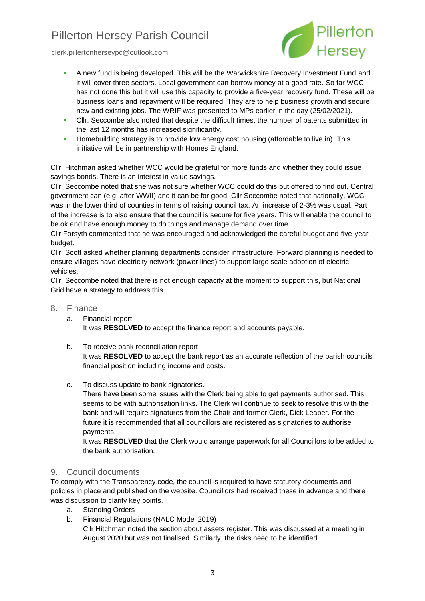

clerk.pillertonherseypc@outlook.com

- **A new fund is being developed. This will be the Warwickshire Recovery Investment Fund and** it will cover three sectors. Local government can borrow money at a good rate. So far WCC has not done this but it will use this capacity to provide a five-year recovery fund. These will be business loans and repayment will be required. They are to help business growth and secure new and existing jobs. The WRIF was presented to MPs earlier in the day (25/02/2021).
- **•** Cllr. Seccombe also noted that despite the difficult times, the number of patents submitted in the last 12 months has increased significantly.
- **EXEDENT Homebuilding strategy is to provide low energy cost housing (affordable to live in). This** initiative will be in partnership with Homes England.

Cllr. Hitchman asked whether WCC would be grateful for more funds and whether they could issue savings bonds. There is an interest in value savings.

Cllr. Seccombe noted that she was not sure whether WCC could do this but offered to find out. Central government can (e.g. after WWII) and it can be for good. Cllr Seccombe noted that nationally, WCC was in the lower third of counties in terms of raising council tax. An increase of 2-3% was usual. Part of the increase is to also ensure that the council is secure for five years. This will enable the council to be ok and have enough money to do things and manage demand over time.

Cllr Forsyth commented that he was encouraged and acknowledged the careful budget and five-year budget.

Cllr. Scott asked whether planning departments consider infrastructure. Forward planning is needed to ensure villages have electricity network (power lines) to support large scale adoption of electric vehicles.

Cllr. Seccombe noted that there is not enough capacity at the moment to support this, but National Grid have a strategy to address this.

- 8. Finance
	- a. Financial report It was **RESOLVED** to accept the finance report and accounts payable.
	- b. To receive bank reconciliation report It was **RESOLVED** to accept the bank report as an accurate reflection of the parish councils financial position including income and costs.
	- c. To discuss update to bank signatories.

There have been some issues with the Clerk being able to get payments authorised. This seems to be with authorisation links. The Clerk will continue to seek to resolve this with the bank and will require signatures from the Chair and former Clerk, Dick Leaper. For the future it is recommended that all councillors are registered as signatories to authorise payments.

It was **RESOLVED** that the Clerk would arrange paperwork for all Councillors to be added to the bank authorisation.

## 9. Council documents

To comply with the Transparency code, the council is required to have statutory documents and policies in place and published on the website. Councillors had received these in advance and there was discussion to clarify key points.

- a. Standing Orders
- b. Financial Regulations (NALC Model 2019)

Cllr Hitchman noted the section about assets register. This was discussed at a meeting in August 2020 but was not finalised. Similarly, the risks need to be identified.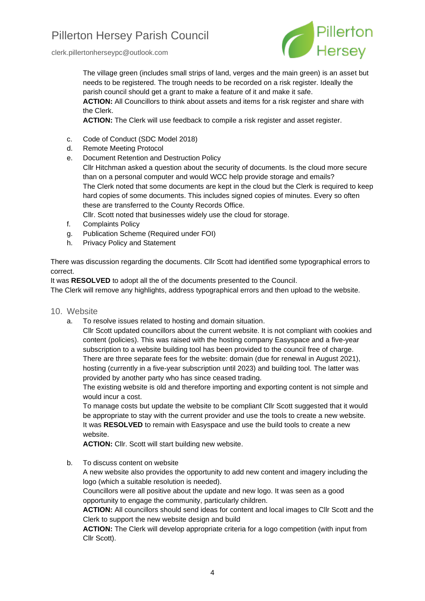clerk.pillertonherseypc@outlook.com



The village green (includes small strips of land, verges and the main green) is an asset but needs to be registered. The trough needs to be recorded on a risk register. Ideally the parish council should get a grant to make a feature of it and make it safe.

**ACTION:** All Councillors to think about assets and items for a risk register and share with the Clerk.

ACTION: The Clerk will use feedback to compile a risk register and asset register.

- c. Code of Conduct (SDC Model 2018)
- d. Remote Meeting Protocol
- e. Document Retention and Destruction Policy Cllr Hitchman asked a question about the security of documents. Is the cloud more secure than on a personal computer and would WCC help provide storage and emails? The Clerk noted that some documents are kept in the cloud but the Clerk is required to keep hard copies of some documents. This includes signed copies of minutes. Every so often these are transferred to the County Records Office.

Cllr. Scott noted that businesses widely use the cloud for storage.

- f. Complaints Policy
- g. Publication Scheme (Required under FOI)
- h. Privacy Policy and Statement

There was discussion regarding the documents. Cllr Scott had identified some typographical errors to correct.

It was **RESOLVED** to adopt all the of the documents presented to the Council.

The Clerk will remove any highlights, address typographical errors and then upload to the website.

- 10. Website
	- a. To resolve issues related to hosting and domain situation.

Cllr Scott updated councillors about the current website. It is not compliant with cookies and content (policies). This was raised with the hosting company Easyspace and a five-year subscription to a website building tool has been provided to the council free of charge. There are three separate fees for the website: domain (due for renewal in August 2021), hosting (currently in a five-year subscription until 2023) and building tool. The latter was provided by another party who has since ceased trading.

The existing website is old and therefore importing and exporting content is not simple and would incur a cost.

To manage costs but update the website to be compliant Cllr Scott suggested that it would be appropriate to stay with the current provider and use the tools to create a new website. It was **RESOLVED** to remain with Easyspace and use the build tools to create a new website.

**ACTION:** Cllr. Scott will start building new website.

b. To discuss content on website

A new website also provides the opportunity to add new content and imagery including the logo (which a suitable resolution is needed).

Councillors were all positive about the update and new logo. It was seen as a good opportunity to engage the community, particularly children.

**ACTION:** All councillors should send ideas for content and local images to Cllr Scott and the Clerk to support the new website design and build

**ACTION:** The Clerk will develop appropriate criteria for a logo competition (with input from Cllr Scott).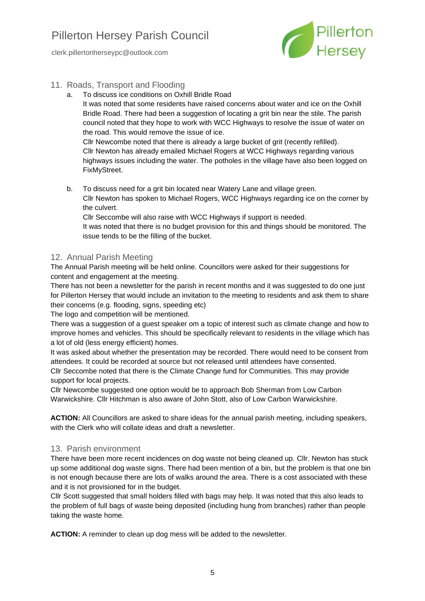clerk.pillertonherseypc@outlook.com



## 11. Roads, Transport and Flooding

a. To discuss ice conditions on Oxhill Bridle Road

It was noted that some residents have raised concerns about water and ice on the Oxhill Bridle Road. There had been a suggestion of locating a grit bin near the stile. The parish council noted that they hope to work with WCC Highways to resolve the issue of water on the road. This would remove the issue of ice.

Cllr Newcombe noted that there is already a large bucket of grit (recently refilled). Cllr Newton has already emailed Michael Rogers at WCC Highways regarding various highways issues including the water. The potholes in the village have also been logged on FixMyStreet.

- b. To discuss need for a grit bin located near Watery Lane and village green. Cllr Newton has spoken to Michael Rogers, WCC Highways regarding ice on the corner by
	- the culvert.

Cllr Seccombe will also raise with WCC Highways if support is needed.

It was noted that there is no budget provision for this and things should be monitored. The issue tends to be the filling of the bucket.

# 12. Annual Parish Meeting

The Annual Parish meeting will be held online. Councillors were asked for their suggestions for content and engagement at the meeting.

There has not been a newsletter for the parish in recent months and it was suggested to do one just for Pillerton Hersey that would include an invitation to the meeting to residents and ask them to share their concerns (e.g. flooding, signs, speeding etc)

The logo and competition will be mentioned.

There was a suggestion of a guest speaker om a topic of interest such as climate change and how to improve homes and vehicles. This should be specifically relevant to residents in the village which has a lot of old (less energy efficient) homes.

It was asked about whether the presentation may be recorded. There would need to be consent from attendees. It could be recorded at source but not released until attendees have consented. Cllr Seccombe noted that there is the Climate Change fund for Communities. This may provide support for local projects.

Cllr Newcombe suggested one option would be to approach Bob Sherman from Low Carbon Warwickshire. Cllr Hitchman is also aware of John Stott, also of Low Carbon Warwickshire.

**ACTION:** All Councillors are asked to share ideas for the annual parish meeting, including speakers, with the Clerk who will collate ideas and draft a newsletter.

## 13. Parish environment

There have been more recent incidences on dog waste not being cleaned up. Cllr. Newton has stuck up some additional dog waste signs. There had been mention of a bin, but the problem is that one bin is not enough because there are lots of walks around the area. There is a cost associated with these and it is not provisioned for in the budget.

Cllr Scott suggested that small holders filled with bags may help. It was noted that this also leads to the problem of full bags of waste being deposited (including hung from branches) rather than people taking the waste home.

**ACTION:** A reminder to clean up dog mess will be added to the newsletter.